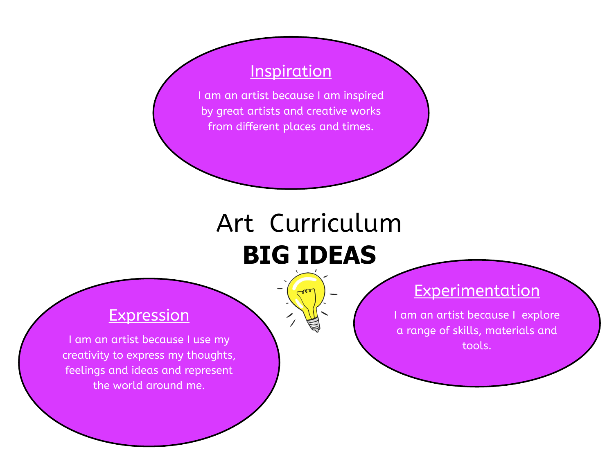#### **Inspiration**

I am an artist because I am inspired by great artists and creative works from different places and times.

# Art Curriculum **BIG IDEAS**

#### **Expression**

I am an artist because I use my creativity to express my thoughts, feelings and ideas and represent the world around me.

#### **Experimentation**

I am an artist because I explore a range of skills, materials and tools.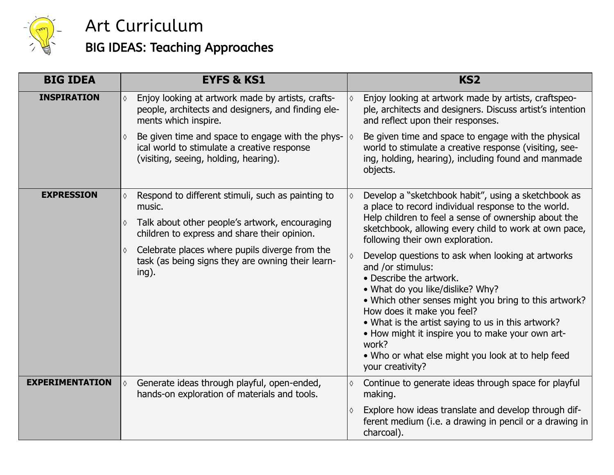

## BIG IDEAS: Teaching Approaches

| <b>BIG IDEA</b>        | <b>EYFS &amp; KS1</b>                                                                                                                         | KS <sub>2</sub>                                                                                                                                                                                                                                                                                                                                                                                                          |
|------------------------|-----------------------------------------------------------------------------------------------------------------------------------------------|--------------------------------------------------------------------------------------------------------------------------------------------------------------------------------------------------------------------------------------------------------------------------------------------------------------------------------------------------------------------------------------------------------------------------|
| <b>INSPIRATION</b>     | Enjoy looking at artwork made by artists, crafts-<br>♦<br>people, architects and designers, and finding ele-<br>ments which inspire.          | Enjoy looking at artwork made by artists, craftspeo-<br>ple, architects and designers. Discuss artist's intention<br>and reflect upon their responses.                                                                                                                                                                                                                                                                   |
|                        | Be given time and space to engage with the phys-<br>♦<br>ical world to stimulate a creative response<br>(visiting, seeing, holding, hearing). | Be given time and space to engage with the physical<br>world to stimulate a creative response (visiting, see-<br>ing, holding, hearing), including found and manmade<br>objects.                                                                                                                                                                                                                                         |
| <b>EXPRESSION</b>      | Respond to different stimuli, such as painting to<br>music.                                                                                   | Develop a "sketchbook habit", using a sketchbook as<br>a place to record individual response to the world.<br>Help children to feel a sense of ownership about the                                                                                                                                                                                                                                                       |
|                        | Talk about other people's artwork, encouraging<br>♦<br>children to express and share their opinion.                                           | sketchbook, allowing every child to work at own pace,<br>following their own exploration.                                                                                                                                                                                                                                                                                                                                |
|                        | Celebrate places where pupils diverge from the<br>♦<br>task (as being signs they are owning their learn-<br>ing).                             | Develop questions to ask when looking at artworks<br>and /or stimulus:<br>• Describe the artwork.<br>. What do you like/dislike? Why?<br>• Which other senses might you bring to this artwork?<br>How does it make you feel?<br>• What is the artist saying to us in this artwork?<br>• How might it inspire you to make your own art-<br>work?<br>• Who or what else might you look at to help feed<br>your creativity? |
| <b>EXPERIMENTATION</b> | Generate ideas through playful, open-ended,<br>♦<br>hands-on exploration of materials and tools.                                              | Continue to generate ideas through space for playful<br>making.                                                                                                                                                                                                                                                                                                                                                          |
|                        |                                                                                                                                               | Explore how ideas translate and develop through dif-<br>ferent medium (i.e. a drawing in pencil or a drawing in<br>charcoal).                                                                                                                                                                                                                                                                                            |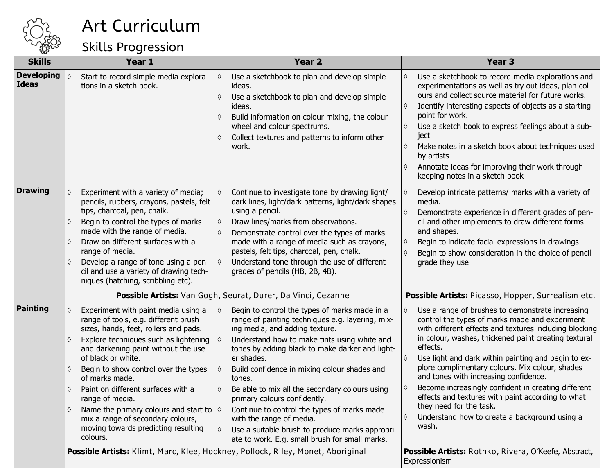

Skills Progression

| <b>Skills</b>                     | Year 1                                                                                                                                                                                                                                                                                                                                                                                                                                                                                              |                                                                                                                                             | Year <sub>2</sub>                                                                                                                                                                                                                                                                                                                                                                                                                                          | Year <sub>3</sub>                                                                                                                                                                                                                                                                                                                                                                                                                                                                                                                                                                                                 |
|-----------------------------------|-----------------------------------------------------------------------------------------------------------------------------------------------------------------------------------------------------------------------------------------------------------------------------------------------------------------------------------------------------------------------------------------------------------------------------------------------------------------------------------------------------|---------------------------------------------------------------------------------------------------------------------------------------------|------------------------------------------------------------------------------------------------------------------------------------------------------------------------------------------------------------------------------------------------------------------------------------------------------------------------------------------------------------------------------------------------------------------------------------------------------------|-------------------------------------------------------------------------------------------------------------------------------------------------------------------------------------------------------------------------------------------------------------------------------------------------------------------------------------------------------------------------------------------------------------------------------------------------------------------------------------------------------------------------------------------------------------------------------------------------------------------|
| <b>Developing</b><br><b>Ideas</b> | Start to record simple media explora-<br>tions in a sketch book.                                                                                                                                                                                                                                                                                                                                                                                                                                    | ♦<br>ideas.<br>♦<br>ideas.<br>wheel and colour spectrums.<br>♦<br>work.                                                                     | Use a sketchbook to plan and develop simple<br>Use a sketchbook to plan and develop simple<br>Build information on colour mixing, the colour<br>Collect textures and patterns to inform other                                                                                                                                                                                                                                                              | Use a sketchbook to record media explorations and<br>♦<br>experimentations as well as try out ideas, plan col-<br>ours and collect source material for future works.<br>Identify interesting aspects of objects as a starting<br>♦<br>point for work.<br>Use a sketch book to express feelings about a sub-<br>$\Diamond$<br>ject<br>Make notes in a sketch book about techniques used<br>♦<br>by artists<br>Annotate ideas for improving their work through<br>♦<br>keeping notes in a sketch book                                                                                                               |
| <b>Drawing</b>                    | Experiment with a variety of media;<br>pencils, rubbers, crayons, pastels, felt<br>tips, charcoal, pen, chalk.<br>Begin to control the types of marks<br>♦<br>made with the range of media.<br>Draw on different surfaces with a<br>range of media.<br>Develop a range of tone using a pen-<br>♦<br>cil and use a variety of drawing tech-<br>niques (hatching, scribbling etc).                                                                                                                    | ♦<br>using a pencil.<br>♦<br>♦<br>♦<br>grades of pencils (HB, 2B, 4B).                                                                      | Continue to investigate tone by drawing light/<br>dark lines, light/dark patterns, light/dark shapes<br>Draw lines/marks from observations.<br>Demonstrate control over the types of marks<br>made with a range of media such as crayons,<br>pastels, felt tips, charcoal, pen, chalk.<br>Understand tone through the use of different                                                                                                                     | Develop intricate patterns/ marks with a variety of<br>♦<br>media.<br>Demonstrate experience in different grades of pen-<br>$\Diamond$<br>cil and other implements to draw different forms<br>and shapes.<br>Begin to indicate facial expressions in drawings<br>♦<br>Begin to show consideration in the choice of pencil<br>♦<br>grade they use                                                                                                                                                                                                                                                                  |
|                                   |                                                                                                                                                                                                                                                                                                                                                                                                                                                                                                     | <b>Possible Artists:</b> Van Gogh, Seurat, Durer, Da Vinci, Cezanne                                                                         |                                                                                                                                                                                                                                                                                                                                                                                                                                                            | Possible Artists: Picasso, Hopper, Surrealism etc.                                                                                                                                                                                                                                                                                                                                                                                                                                                                                                                                                                |
| <b>Painting</b>                   | Experiment with paint media using a<br>range of tools, e.g. different brush<br>sizes, hands, feet, rollers and pads.<br>Explore techniques such as lightening<br>and darkening paint without the use<br>of black or white.<br>Begin to show control over the types<br>♦<br>of marks made.<br>Paint on different surfaces with a<br>♦<br>range of media.<br>Name the primary colours and start to $\Diamond$<br>mix a range of secondary colours,<br>moving towards predicting resulting<br>colours. | ♦<br>ing media, and adding texture.<br>♦<br>er shades.<br>♦<br>tones.<br>♦<br>primary colours confidently.<br>with the range of media.<br>♦ | Begin to control the types of marks made in a<br>range of painting techniques e.g. layering, mix-<br>Understand how to make tints using white and<br>tones by adding black to make darker and light-<br>Build confidence in mixing colour shades and<br>Be able to mix all the secondary colours using<br>Continue to control the types of marks made<br>Use a suitable brush to produce marks appropri-<br>ate to work. E.g. small brush for small marks. | Use a range of brushes to demonstrate increasing<br>♦<br>control the types of marks made and experiment<br>with different effects and textures including blocking<br>in colour, washes, thickened paint creating textural<br>effects.<br>Use light and dark within painting and begin to ex-<br>♦<br>plore complimentary colours. Mix colour, shades<br>and tones with increasing confidence.<br>Become increasingly confident in creating different<br>♦<br>effects and textures with paint according to what<br>they need for the task.<br>Understand how to create a background using a<br>$\Diamond$<br>wash. |
|                                   |                                                                                                                                                                                                                                                                                                                                                                                                                                                                                                     | Possible Artists: Klimt, Marc, Klee, Hockney, Pollock, Riley, Monet, Aboriginal                                                             |                                                                                                                                                                                                                                                                                                                                                                                                                                                            | Possible Artists: Rothko, Rivera, O'Keefe, Abstract,<br>Expressionism                                                                                                                                                                                                                                                                                                                                                                                                                                                                                                                                             |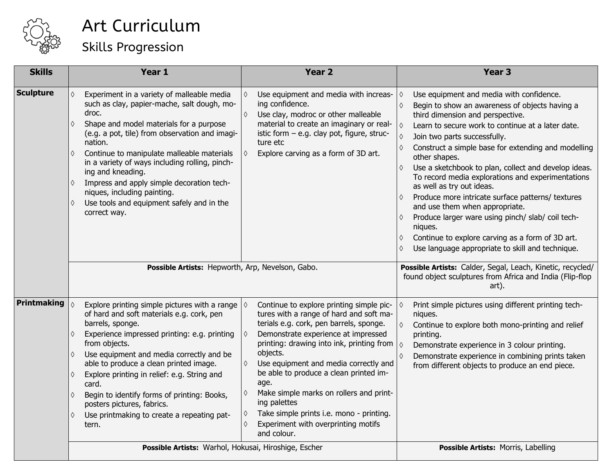

| <b>Skills</b>    | Year 1                                                                                                                                                                                                                                                                                                                                                                                                                                                                                                                                                | Year <sub>2</sub>                                                                                                                                                                                                                                                                                                                                                                                                                                                                                               | Year <sub>3</sub>                                                                                                                                                                                                                                                                                                                                                                                                                                                                                                                                                                                                                                                                                                            |
|------------------|-------------------------------------------------------------------------------------------------------------------------------------------------------------------------------------------------------------------------------------------------------------------------------------------------------------------------------------------------------------------------------------------------------------------------------------------------------------------------------------------------------------------------------------------------------|-----------------------------------------------------------------------------------------------------------------------------------------------------------------------------------------------------------------------------------------------------------------------------------------------------------------------------------------------------------------------------------------------------------------------------------------------------------------------------------------------------------------|------------------------------------------------------------------------------------------------------------------------------------------------------------------------------------------------------------------------------------------------------------------------------------------------------------------------------------------------------------------------------------------------------------------------------------------------------------------------------------------------------------------------------------------------------------------------------------------------------------------------------------------------------------------------------------------------------------------------------|
| <b>Sculpture</b> | Experiment in a variety of malleable media<br>such as clay, papier-mache, salt dough, mo-<br>droc.<br>Shape and model materials for a purpose<br>$\Diamond$<br>(e.g. a pot, tile) from observation and imagi-<br>nation.<br>Continue to manipulate malleable materials<br>$\Diamond$<br>in a variety of ways including rolling, pinch-<br>ing and kneading.<br>Impress and apply simple decoration tech-<br>$\Diamond$<br>niques, including painting.<br>Use tools and equipment safely and in the<br>$\Diamond$<br>correct way.                      | Use equipment and media with increas-<br>♦<br>ing confidence.<br>Use clay, modroc or other malleable<br>$\Diamond$<br>material to create an imaginary or real-<br>istic form - e.g. clay pot, figure, struc-<br>ture etc<br>Explore carving as a form of 3D art.<br>♦                                                                                                                                                                                                                                           | Use equipment and media with confidence.<br>♦<br>Begin to show an awareness of objects having a<br>$\Diamond$<br>third dimension and perspective.<br>Learn to secure work to continue at a later date.<br>♦<br>Join two parts successfully.<br>Construct a simple base for extending and modelling<br>other shapes.<br>Use a sketchbook to plan, collect and develop ideas.<br>To record media explorations and experimentations<br>as well as try out ideas.<br>Produce more intricate surface patterns/ textures<br>and use them when appropriate.<br>Produce larger ware using pinch/ slab/ coil tech-<br>niques.<br>Continue to explore carving as a form of 3D art.<br>Use language appropriate to skill and technique. |
|                  | Possible Artists: Hepworth, Arp, Nevelson, Gabo.                                                                                                                                                                                                                                                                                                                                                                                                                                                                                                      |                                                                                                                                                                                                                                                                                                                                                                                                                                                                                                                 | Possible Artists: Calder, Segal, Leach, Kinetic, recycled/<br>found object sculptures from Africa and India (Flip-flop<br>art).                                                                                                                                                                                                                                                                                                                                                                                                                                                                                                                                                                                              |
| Printmaking      | Explore printing simple pictures with a range<br>$\Diamond$<br>of hard and soft materials e.g. cork, pen<br>barrels, sponge.<br>Experience impressed printing: e.g. printing<br>$\Diamond$<br>from objects.<br>Use equipment and media correctly and be<br>$\Diamond$<br>able to produce a clean printed image.<br>Explore printing in relief: e.g. String and<br>$\Diamond$<br>card.<br>Begin to identify forms of printing: Books,<br>$\Diamond$<br>posters pictures, fabrics.<br>Use printmaking to create a repeating pat-<br>$\Diamond$<br>tern. | Continue to explore printing simple pic-<br>♦<br>tures with a range of hard and soft ma-<br>terials e.g. cork, pen barrels, sponge.<br>Demonstrate experience at impressed<br>♦<br>printing: drawing into ink, printing from<br>objects.<br>Use equipment and media correctly and<br>be able to produce a clean printed im-<br>age.<br>Make simple marks on rollers and print-<br>♦<br>ing palettes<br>Take simple prints i.e. mono - printing.<br>♦<br>Experiment with overprinting motifs<br>♦<br>and colour. | Print simple pictures using different printing tech-<br>♦<br>niques.<br>$\Diamond$<br>Continue to explore both mono-printing and relief<br>printing.<br>$\Diamond$<br>Demonstrate experience in 3 colour printing.<br>Demonstrate experience in combining prints taken<br>$\Diamond$<br>from different objects to produce an end piece.                                                                                                                                                                                                                                                                                                                                                                                      |
|                  | Possible Artists: Warhol, Hokusai, Hiroshige, Escher                                                                                                                                                                                                                                                                                                                                                                                                                                                                                                  | Possible Artists: Morris, Labelling                                                                                                                                                                                                                                                                                                                                                                                                                                                                             |                                                                                                                                                                                                                                                                                                                                                                                                                                                                                                                                                                                                                                                                                                                              |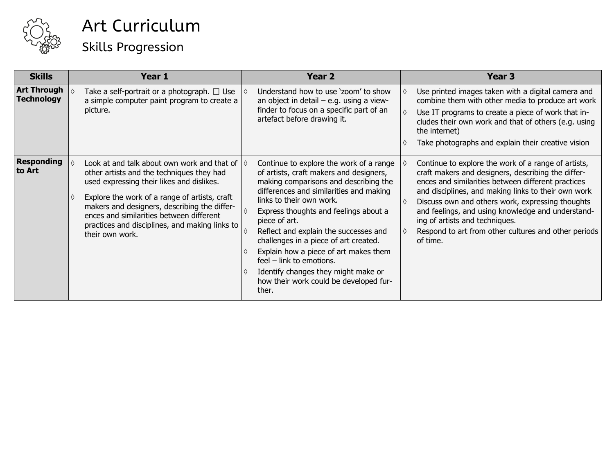

### Art Curriculum Skills Progression

| <b>Skills</b>                           | Year 1                                                                                                                                                                                                                                                                                                                                                             | Year <sub>2</sub>                                                                                                                                                                                                                                                                                                                                                                                                                                                                                             | Year <sub>3</sub>                                                                                                                                                                                                                                                                                                                                                                                                                     |
|-----------------------------------------|--------------------------------------------------------------------------------------------------------------------------------------------------------------------------------------------------------------------------------------------------------------------------------------------------------------------------------------------------------------------|---------------------------------------------------------------------------------------------------------------------------------------------------------------------------------------------------------------------------------------------------------------------------------------------------------------------------------------------------------------------------------------------------------------------------------------------------------------------------------------------------------------|---------------------------------------------------------------------------------------------------------------------------------------------------------------------------------------------------------------------------------------------------------------------------------------------------------------------------------------------------------------------------------------------------------------------------------------|
| <b>Art Through</b><br><b>Technology</b> | Take a self-portrait or a photograph. $\Box$ Use<br>a simple computer paint program to create a<br>picture.                                                                                                                                                                                                                                                        | Understand how to use 'zoom' to show<br>an object in detail $-$ e.g. using a view-<br>finder to focus on a specific part of an<br>artefact before drawing it.                                                                                                                                                                                                                                                                                                                                                 | Use printed images taken with a digital camera and<br>combine them with other media to produce art work<br>Use IT programs to create a piece of work that in-<br>cludes their own work and that of others (e.g. using<br>the internet)<br>Take photographs and explain their creative vision                                                                                                                                          |
| <b>Responding</b><br>to Art             | Look at and talk about own work and that of $\Diamond$<br>other artists and the techniques they had<br>used expressing their likes and dislikes.<br>Explore the work of a range of artists, craft<br>makers and designers, describing the differ-<br>ences and similarities between different<br>practices and disciplines, and making links to<br>their own work. | Continue to explore the work of a range<br>of artists, craft makers and designers,<br>making comparisons and describing the<br>differences and similarities and making<br>links to their own work.<br>Express thoughts and feelings about a<br>piece of art.<br>Reflect and explain the successes and<br>challenges in a piece of art created.<br>Explain how a piece of art makes them<br>feel - link to emotions.<br>Identify changes they might make or<br>how their work could be developed fur-<br>ther. | Continue to explore the work of a range of artists,<br>craft makers and designers, describing the differ-<br>ences and similarities between different practices<br>and disciplines, and making links to their own work<br>Discuss own and others work, expressing thoughts<br>and feelings, and using knowledge and understand-<br>ing of artists and techniques.<br>Respond to art from other cultures and other periods<br>of time. |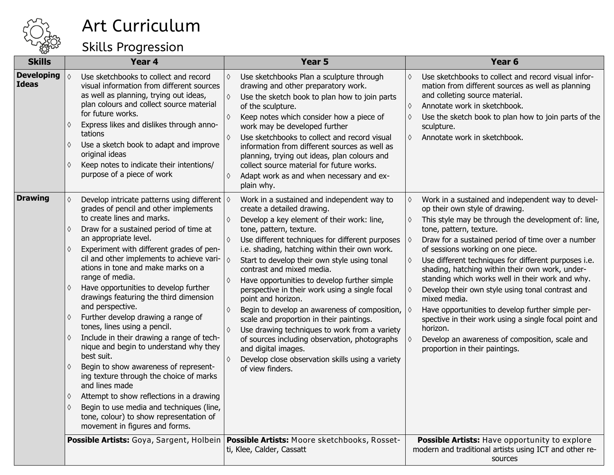

#### Skills Progression

| <b>Skills</b>                     | Year 4                                                                                                                                                                                                                                                                                                                                                                                                                                                                                                                                                                                                                                                                                                                                                                                                                                                                                                         | Year 5<br>Year <sub>6</sub>                                                                                                                                                                                                                                                                                                                                                                                                                                                                                                                                                                                                                                                                                                                                                            |                                                                                                                                                                                                                                                                                                                                                                                                                                                                                                                                                                                                                                                                                                                                                                       |
|-----------------------------------|----------------------------------------------------------------------------------------------------------------------------------------------------------------------------------------------------------------------------------------------------------------------------------------------------------------------------------------------------------------------------------------------------------------------------------------------------------------------------------------------------------------------------------------------------------------------------------------------------------------------------------------------------------------------------------------------------------------------------------------------------------------------------------------------------------------------------------------------------------------------------------------------------------------|----------------------------------------------------------------------------------------------------------------------------------------------------------------------------------------------------------------------------------------------------------------------------------------------------------------------------------------------------------------------------------------------------------------------------------------------------------------------------------------------------------------------------------------------------------------------------------------------------------------------------------------------------------------------------------------------------------------------------------------------------------------------------------------|-----------------------------------------------------------------------------------------------------------------------------------------------------------------------------------------------------------------------------------------------------------------------------------------------------------------------------------------------------------------------------------------------------------------------------------------------------------------------------------------------------------------------------------------------------------------------------------------------------------------------------------------------------------------------------------------------------------------------------------------------------------------------|
| <b>Developing</b><br><b>Ideas</b> | Use sketchbooks to collect and record<br>visual information from different sources<br>as well as planning, trying out ideas,<br>plan colours and collect source material<br>for future works.<br>Express likes and dislikes through anno-<br>tations<br>Use a sketch book to adapt and improve<br>original ideas<br>Keep notes to indicate their intentions/<br>♦<br>purpose of a piece of work                                                                                                                                                                                                                                                                                                                                                                                                                                                                                                                | Use sketchbooks Plan a sculpture through<br>♦<br>drawing and other preparatory work.<br>Use the sketch book to plan how to join parts<br>♦<br>of the sculpture.<br>Keep notes which consider how a piece of<br>♦<br>work may be developed further<br>Use sketchbooks to collect and record visual<br>information from different sources as well as<br>planning, trying out ideas, plan colours and<br>collect source material for future works.<br>Adapt work as and when necessary and ex-<br>♦<br>plain why.                                                                                                                                                                                                                                                                         | Use sketchbooks to collect and record visual infor-<br>♦<br>mation from different sources as well as planning<br>and colleting source material.<br>Annotate work in sketchbook.<br>♦<br>Use the sketch book to plan how to join parts of the<br>♦<br>sculpture.<br>Annotate work in sketchbook.<br>♦                                                                                                                                                                                                                                                                                                                                                                                                                                                                  |
| <b>Drawing</b>                    | Develop intricate patterns using different $\Diamond$<br>grades of pencil and other implements<br>to create lines and marks.<br>Draw for a sustained period of time at<br>an appropriate level.<br>Experiment with different grades of pen-<br>cil and other implements to achieve vari-<br>ations in tone and make marks on a<br>range of media.<br>Have opportunities to develop further<br>drawings featuring the third dimension<br>and perspective.<br>Further develop drawing a range of<br>tones, lines using a pencil.<br>Include in their drawing a range of tech-<br>nique and begin to understand why they<br>best suit.<br>Begin to show awareness of represent-<br>ing texture through the choice of marks<br>and lines made<br>Attempt to show reflections in a drawing<br>Begin to use media and techniques (line,<br>tone, colour) to show representation of<br>movement in figures and forms. | Work in a sustained and independent way to<br>create a detailed drawing.<br>Develop a key element of their work: line,<br>♦<br>tone, pattern, texture.<br>Use different techniques for different purposes<br>♦<br>i.e. shading, hatching within their own work.<br>♦<br>Start to develop their own style using tonal<br>contrast and mixed media.<br>Have opportunities to develop further simple<br>♦<br>perspective in their work using a single focal<br>point and horizon.<br>Begin to develop an awareness of composition,<br>♦<br>scale and proportion in their paintings.<br>Use drawing techniques to work from a variety<br>♦<br>of sources including observation, photographs<br>and digital images.<br>Develop close observation skills using a variety<br>of view finders. | Work in a sustained and independent way to devel-<br>♦<br>op their own style of drawing.<br>This style may be through the development of: line,<br>♦<br>tone, pattern, texture.<br>Draw for a sustained period of time over a number<br>$\Diamond$<br>of sessions working on one piece.<br>Use different techniques for different purposes i.e.<br>♦<br>shading, hatching within their own work, under-<br>standing which works well in their work and why.<br>Develop their own style using tonal contrast and<br>♦<br>mixed media.<br>$\Diamond$<br>Have opportunities to develop further simple per-<br>spective in their work using a single focal point and<br>horizon.<br>Develop an awareness of composition, scale and<br>♦<br>proportion in their paintings. |
|                                   | Possible Artists: Goya, Sargent, Holbein                                                                                                                                                                                                                                                                                                                                                                                                                                                                                                                                                                                                                                                                                                                                                                                                                                                                       | <b>Possible Artists: Moore sketchbooks, Rosset-</b><br>ti, Klee, Calder, Cassatt                                                                                                                                                                                                                                                                                                                                                                                                                                                                                                                                                                                                                                                                                                       | Possible Artists: Have opportunity to explore<br>modern and traditional artists using ICT and other re-<br>sources                                                                                                                                                                                                                                                                                                                                                                                                                                                                                                                                                                                                                                                    |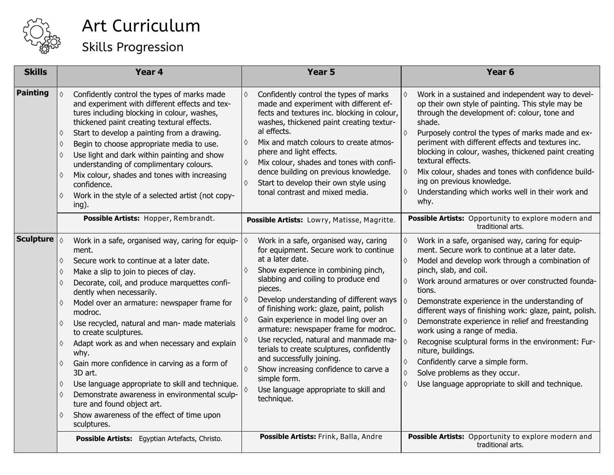

| Art Curriculum            |
|---------------------------|
| <b>Skills Progression</b> |

| <b>Skills</b>    | Year 4                                                                                                                                                                                                                                                                                                                                                                                                                                                                                                                                                                                                                                                                                                                                                 | Year <sub>5</sub>                                                                                                                                                                                                                                                                                                                                                                                                                                                                                                                                                                                                                                     | Year <sub>6</sub>                                                                                                                                                                                                                                                                                                                                                                                                                                                                                                                                                                                                                                                                                                                                                                                                         |
|------------------|--------------------------------------------------------------------------------------------------------------------------------------------------------------------------------------------------------------------------------------------------------------------------------------------------------------------------------------------------------------------------------------------------------------------------------------------------------------------------------------------------------------------------------------------------------------------------------------------------------------------------------------------------------------------------------------------------------------------------------------------------------|-------------------------------------------------------------------------------------------------------------------------------------------------------------------------------------------------------------------------------------------------------------------------------------------------------------------------------------------------------------------------------------------------------------------------------------------------------------------------------------------------------------------------------------------------------------------------------------------------------------------------------------------------------|---------------------------------------------------------------------------------------------------------------------------------------------------------------------------------------------------------------------------------------------------------------------------------------------------------------------------------------------------------------------------------------------------------------------------------------------------------------------------------------------------------------------------------------------------------------------------------------------------------------------------------------------------------------------------------------------------------------------------------------------------------------------------------------------------------------------------|
| Painting         | $\Diamond$<br>Confidently control the types of marks made<br>and experiment with different effects and tex-<br>tures including blocking in colour, washes,<br>thickened paint creating textural effects.<br>Start to develop a painting from a drawing.<br>♦<br>Begin to choose appropriate media to use.<br>♦<br>Use light and dark within painting and show<br>♦<br>understanding of complimentary colours.<br>Mix colour, shades and tones with increasing<br>♦<br>confidence.<br>Work in the style of a selected artist (not copy-<br>♦<br>$ing)$ .                                                                                                                                                                                                | $\Diamond$<br>Confidently control the types of marks<br>made and experiment with different ef-<br>fects and textures inc. blocking in colour,<br>washes, thickened paint creating textur-<br>al effects.<br>Mix and match colours to create atmos-<br>♦<br>phere and light effects.<br>Mix colour, shades and tones with confi-<br>♦<br>dence building on previous knowledge.<br>Start to develop their own style using<br>$\Diamond$<br>tonal contrast and mixed media.                                                                                                                                                                              | Work in a sustained and independent way to devel-<br>$\Diamond$<br>op their own style of painting. This style may be<br>through the development of: colour, tone and<br>shade.<br>$\Diamond$<br>Purposely control the types of marks made and ex-<br>periment with different effects and textures inc.<br>blocking in colour, washes, thickened paint creating<br>textural effects.<br>Mix colour, shades and tones with confidence build-<br>$\Diamond$<br>ing on previous knowledge.<br>Understanding which works well in their work and<br>♦<br>why.                                                                                                                                                                                                                                                                   |
|                  | Possible Artists: Hopper, Rembrandt.                                                                                                                                                                                                                                                                                                                                                                                                                                                                                                                                                                                                                                                                                                                   | Possible Artists: Lowry, Matisse, Magritte.                                                                                                                                                                                                                                                                                                                                                                                                                                                                                                                                                                                                           | Possible Artists: Opportunity to explore modern and<br>traditional arts.                                                                                                                                                                                                                                                                                                                                                                                                                                                                                                                                                                                                                                                                                                                                                  |
| <b>Sculpture</b> | $\Diamond$<br>Work in a safe, organised way, caring for equip-<br>ment.<br>Secure work to continue at a later date.<br>♦<br>Make a slip to join to pieces of clay.<br>♦<br>Decorate, coil, and produce marquettes confi-<br>dently when necessarily.<br>Model over an armature: newspaper frame for<br>$\Diamond$<br>modroc.<br>Use recycled, natural and man- made materials<br>♦<br>to create sculptures.<br>Adapt work as and when necessary and explain<br>♦<br>why.<br>Gain more confidence in carving as a form of<br>♦<br>3D art.<br>Use language appropriate to skill and technique.<br>♦<br>Demonstrate awareness in environmental sculp-<br>♦<br>ture and found object art.<br>Show awareness of the effect of time upon<br>♦<br>sculptures. | Work in a safe, organised way, caring<br>for equipment. Secure work to continue<br>at a later date.<br>Show experience in combining pinch,<br>♦<br>slabbing and coiling to produce end<br>pieces.<br>Develop understanding of different ways<br>of finishing work: glaze, paint, polish<br>Gain experience in model ling over an<br>armature: newspaper frame for modroc.<br>Use recycled, natural and manmade ma-<br>terials to create sculptures, confidently<br>and successfully joining.<br>Show increasing confidence to carve a<br>simple form.<br>Use language appropriate to skill and<br>technique.<br>Possible Artists: Frink, Balla, Andre | $\Diamond$<br>Work in a safe, organised way, caring for equip-<br>ment. Secure work to continue at a later date.<br>Model and develop work through a combination of<br>$\Diamond$<br>pinch, slab, and coil.<br>$\Diamond$<br>Work around armatures or over constructed founda-<br>tions.<br>$\Diamond$<br>Demonstrate experience in the understanding of<br>different ways of finishing work: glaze, paint, polish.<br>Demonstrate experience in relief and freestanding<br>$\Diamond$<br>work using a range of media.<br>$\Diamond$<br>Recognise sculptural forms in the environment: Fur-<br>niture, buildings.<br>Confidently carve a simple form.<br>♦<br>Solve problems as they occur.<br>$\Diamond$<br>Use language appropriate to skill and technique.<br>♦<br>Possible Artists: Opportunity to explore modern and |
|                  | Possible Artists: Egyptian Artefacts, Christo.                                                                                                                                                                                                                                                                                                                                                                                                                                                                                                                                                                                                                                                                                                         |                                                                                                                                                                                                                                                                                                                                                                                                                                                                                                                                                                                                                                                       | traditional arts.                                                                                                                                                                                                                                                                                                                                                                                                                                                                                                                                                                                                                                                                                                                                                                                                         |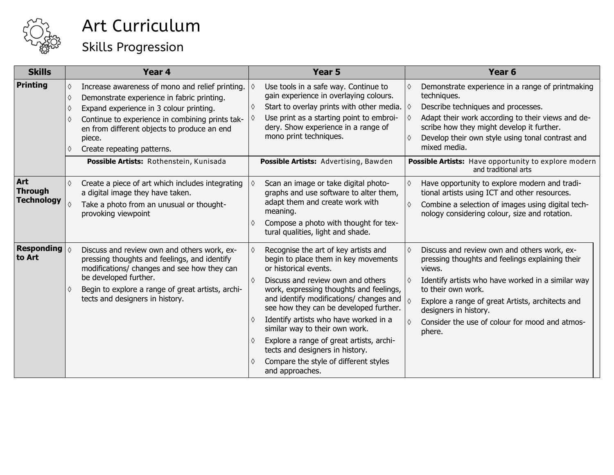

### Art Curriculum Skills Progression

| <b>Skills</b>                              | Year <sub>4</sub>                                                                                                                                                                                                                                                                                                                             | Year <sub>5</sub>                                                                                                                                                                                                                                                                                                                                                                                                                                                                                                    | Year <sub>6</sub>                                                                                                                                                                                                                                                                                                                                                            |
|--------------------------------------------|-----------------------------------------------------------------------------------------------------------------------------------------------------------------------------------------------------------------------------------------------------------------------------------------------------------------------------------------------|----------------------------------------------------------------------------------------------------------------------------------------------------------------------------------------------------------------------------------------------------------------------------------------------------------------------------------------------------------------------------------------------------------------------------------------------------------------------------------------------------------------------|------------------------------------------------------------------------------------------------------------------------------------------------------------------------------------------------------------------------------------------------------------------------------------------------------------------------------------------------------------------------------|
| <b>Printing</b>                            | Increase awareness of mono and relief printing. $\Diamond$<br>Demonstrate experience in fabric printing.<br>♦<br>Expand experience in 3 colour printing.<br>Continue to experience in combining prints tak-<br>en from different objects to produce an end<br>piece.<br>Create repeating patterns.<br>Possible Artists: Rothenstein, Kunisada | Use tools in a safe way. Continue to<br>gain experience in overlaying colours.<br>Start to overlay prints with other media. $\Diamond$<br>♦<br>Use print as a starting point to embroi-<br>dery. Show experience in a range of<br>mono print techniques.<br>Possible Artists: Advertising, Bawden                                                                                                                                                                                                                    | Demonstrate experience in a range of printmaking<br>♦<br>techniques.<br>Describe techniques and processes.<br>Adapt their work according to their views and de-<br>I O<br>scribe how they might develop it further.<br>Develop their own style using tonal contrast and<br>♦<br>mixed media.<br>Possible Artists: Have opportunity to explore modern<br>and traditional arts |
| Art<br><b>Through</b><br><b>Technology</b> | Create a piece of art which includes integrating<br>♦<br>a digital image they have taken.<br>Take a photo from an unusual or thought-<br>provoking viewpoint                                                                                                                                                                                  | Scan an image or take digital photo-<br>graphs and use software to alter them,<br>adapt them and create work with<br>meaning.<br>Compose a photo with thought for tex-<br>♦<br>tural qualities, light and shade.                                                                                                                                                                                                                                                                                                     | Have opportunity to explore modern and tradi-<br>$\Diamond$<br>tional artists using ICT and other resources.<br>Combine a selection of images using digital tech-<br>♦<br>nology considering colour, size and rotation.                                                                                                                                                      |
| <b>Responding</b><br>to Art                | Discuss and review own and others work, ex-<br>pressing thoughts and feelings, and identify<br>modifications/ changes and see how they can<br>be developed further.<br>Begin to explore a range of great artists, archi-<br>♦<br>tects and designers in history.                                                                              | Recognise the art of key artists and<br>♦<br>begin to place them in key movements<br>or historical events.<br>Discuss and review own and others<br>♦<br>work, expressing thoughts and feelings,<br>and identify modifications/ changes and<br>see how they can be developed further.<br>Identify artists who have worked in a<br>♦<br>similar way to their own work.<br>Explore a range of great artists, archi-<br>♦<br>tects and designers in history.<br>Compare the style of different styles<br>and approaches. | Discuss and review own and others work, ex-<br>♦<br>pressing thoughts and feelings explaining their<br>views.<br>Identify artists who have worked in a similar way<br>$\circ$<br>to their own work.<br>Explore a range of great Artists, architects and<br>designers in history.<br>Consider the use of colour for mood and atmos-<br>$\Diamond$<br>phere.                   |